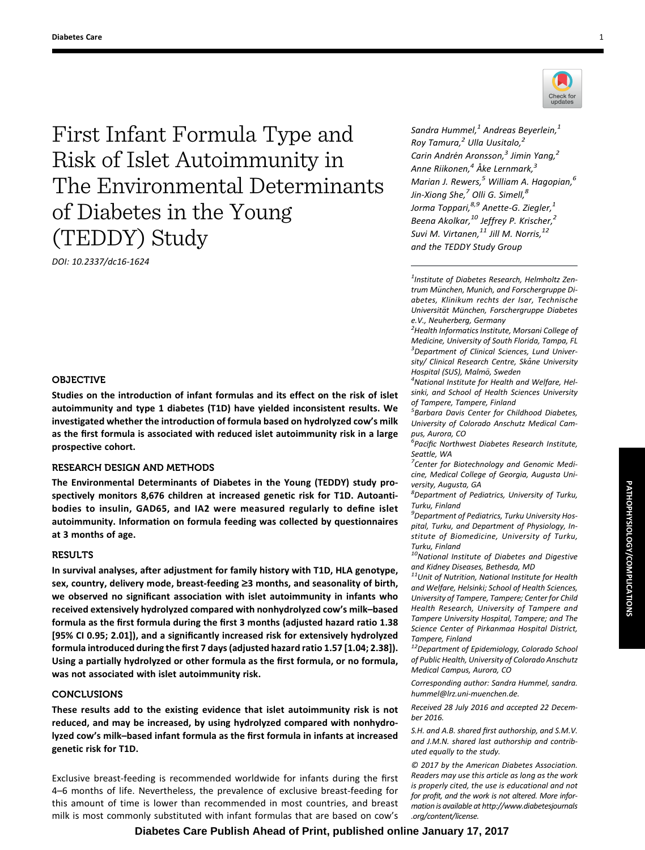First Infant Formula Type and Risk of Islet Autoimmunity in The Environmental Determinants of Diabetes in the Young (TEDDY) Study

DOI: 10.2337/dc16-1624

# OBJECTIVE

Studies on the introduction of infant formulas and its effect on the risk of islet autoimmunity and type 1 diabetes (T1D) have yielded inconsistent results. We investigated whether the introduction of formula based on hydrolyzed cow's milk as the first formula is associated with reduced islet autoimmunity risk in a large prospective cohort.

# RESEARCH DESIGN AND METHODS

The Environmental Determinants of Diabetes in the Young (TEDDY) study prospectively monitors 8,676 children at increased genetic risk for T1D. Autoantibodies to insulin, GAD65, and IA2 were measured regularly to define islet autoimmunity. Information on formula feeding was collected by questionnaires at 3 months of age.

## **RESULTS**

In survival analyses, after adjustment for family history with T1D, HLA genotype, sex, country, delivery mode, breast-feeding  $\geq$ 3 months, and seasonality of birth, we observed no significant association with islet autoimmunity in infants who received extensively hydrolyzed compared with nonhydrolyzed cow's milk–based formula as the first formula during the first 3 months (adjusted hazard ratio 1.38 [95% CI 0.95; 2.01]), and a significantly increased risk for extensively hydrolyzed formula introduced during the first 7 days (adjusted hazard ratio 1.57 [1.04; 2.38]). Using a partially hydrolyzed or other formula as the first formula, or no formula, was not associated with islet autoimmunity risk.

# **CONCLUSIONS**

These results add to the existing evidence that islet autoimmunity risk is not reduced, and may be increased, by using hydrolyzed compared with nonhydrolyzed cow's milk–based infant formula as the first formula in infants at increased genetic risk for T1D.

Exclusive breast-feeding is recommended worldwide for infants during the first 4–6 months of life. Nevertheless, the prevalence of exclusive breast-feeding for this amount of time is lower than recommended in most countries, and breast milk is most commonly substituted with infant formulas that are based on cow's



Sandra Hummel, $<sup>1</sup>$  Andreas Beyerlein, $<sup>1</sup>$ </sup></sup> Roy Tamura, $^2$  Ulla Uusitalo, $^2$ Carin Andrén Aronsson, $3$  Jimin Yang, $2$ Anne Riikonen, $4\text{ Å}$ ke Lernmark, $^3$ Marian J. Rewers, $^5$  William A. Hagopian, $^6$ Jin-Xiong She, $^7$  Olli G. Simell, $^8$ Jorma Toppari,<sup>8,9</sup> Anette-G. Ziegler,<sup>1</sup> Beena Akolkar,<sup>10</sup> Jeffrey P. Krischer,<sup>2</sup> Suvi M. Virtanen, $^{11}$  Jill M. Norris, $^{12}$ and the TEDDY Study Group

 $<sup>1</sup>$ Institute of Diabetes Research, Helmholtz Zen-</sup> trum München, Munich, and Forschergruppe Diabetes, Klinikum rechts der Isar, Technische Universität München, Forschergruppe Diabetes e.V., Neuherberg, Germany

<sup>2</sup> Health Informatics Institute, Morsani College of Medicine, University of South Florida, Tampa, FL <sup>3</sup>Department of Clinical Sciences, Lund University/ Clinical Research Centre, Skåne University Hospital (SUS), Malmö, Sweden

<sup>4</sup>National Institute for Health and Welfare, Helsinki, and School of Health Sciences University of Tampere, Tampere, Finland

<sup>5</sup> Barbara Davis Center for Childhood Diabetes, University of Colorado Anschutz Medical Campus, Aurora, CO

<sup>.<br>6</sup> Pacific Northwest Diabetes Research Institute, Seattle, WA

<sup>7</sup> Center for Biotechnology and Genomic Medicine, Medical College of Georgia, Augusta University, Augusta, GA

8 Department of Pediatrics, University of Turku, Turku, Finland

<sup>9</sup> Department of Pediatrics, Turku University Hospital, Turku, and Department of Physiology, Institute of Biomedicine, University of Turku, Turku, Finland

 $10$ National Institute of Diabetes and Digestive and Kidney Diseases, Bethesda, MD

 $11$ Unit of Nutrition, National Institute for Health and Welfare, Helsinki; School of Health Sciences, University of Tampere, Tampere; Center for Child Health Research, University of Tampere and Tampere University Hospital, Tampere; and The Science Center of Pirkanmaa Hospital District, Tampere, Finland

<sup>12</sup>Department of Epidemiology, Colorado School of Public Health, University of Colorado Anschutz Medical Campus, Aurora, CO

Corresponding author: Sandra Hummel, [sandra.](mailto:sandra.hummel@lrz.uni-muenchen.de) [hummel@lrz.uni-muenchen.de](mailto:sandra.hummel@lrz.uni-muenchen.de).

Received 28 July 2016 and accepted 22 December 2016.

S.H. and A.B. shared first authorship, and S.M.V. and J.M.N. shared last authorship and contributed equally to the study.

© 2017 by the American Diabetes Association. Readers may use this article as long as the work is properly cited, the use is educational and not for profit, and the work is not altered. More information is available at http://www.diabetesjournals .org/content/license.

PATHOPHYSIOLOGY/COMPLICATIONS

**PATHOPHYSIOLOGY/COMPLICATIONS**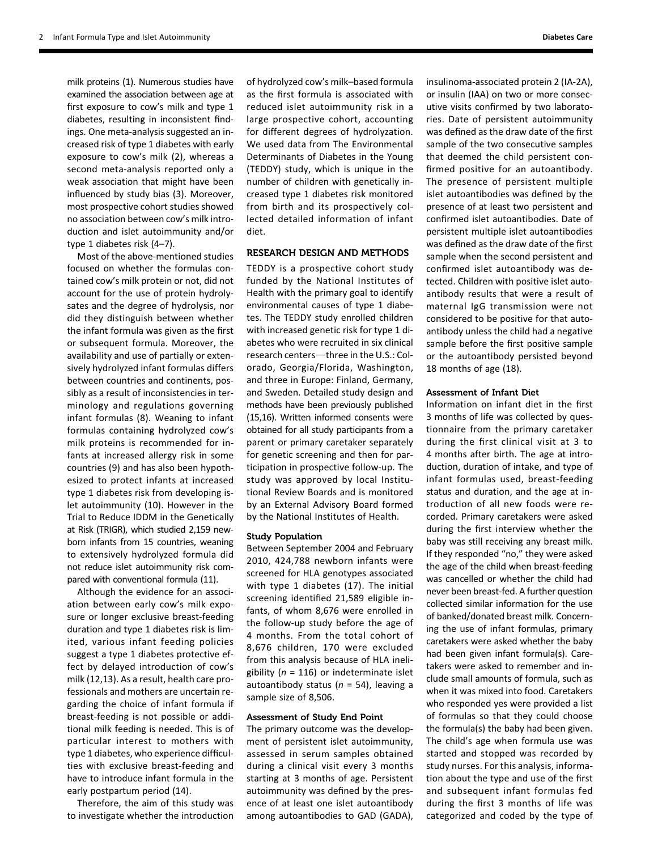milk proteins (1). Numerous studies have examined the association between age at first exposure to cow's milk and type 1 diabetes, resulting in inconsistent findings. One meta-analysis suggested an increased risk of type 1 diabetes with early exposure to cow's milk (2), whereas a second meta-analysis reported only a weak association that might have been influenced by study bias (3). Moreover, most prospective cohort studies showed no association between cow's milk introduction and islet autoimmunity and/or type 1 diabetes risk (4–7).

Most of the above-mentioned studies focused on whether the formulas contained cow's milk protein or not, did not account for the use of protein hydrolysates and the degree of hydrolysis, nor did they distinguish between whether the infant formula was given as the first or subsequent formula. Moreover, the availability and use of partially or extensively hydrolyzed infant formulas differs between countries and continents, possibly as a result of inconsistencies in terminology and regulations governing infant formulas (8). Weaning to infant formulas containing hydrolyzed cow's milk proteins is recommended for infants at increased allergy risk in some countries (9) and has also been hypothesized to protect infants at increased type 1 diabetes risk from developing islet autoimmunity (10). However in the Trial to Reduce IDDM in the Genetically at Risk (TRIGR), which studied 2,159 newborn infants from 15 countries, weaning to extensively hydrolyzed formula did not reduce islet autoimmunity risk compared with conventional formula (11).

Although the evidence for an association between early cow's milk exposure or longer exclusive breast-feeding duration and type 1 diabetes risk is limited, various infant feeding policies suggest a type 1 diabetes protective effect by delayed introduction of cow's milk (12,13). As a result, health care professionals and mothers are uncertain regarding the choice of infant formula if breast-feeding is not possible or additional milk feeding is needed. This is of particular interest to mothers with type 1 diabetes, who experience difficulties with exclusive breast-feeding and have to introduce infant formula in the early postpartum period (14).

Therefore, the aim of this study was to investigate whether the introduction

of hydrolyzed cow's milk–based formula as the first formula is associated with reduced islet autoimmunity risk in a large prospective cohort, accounting for different degrees of hydrolyzation. We used data from The Environmental Determinants of Diabetes in the Young (TEDDY) study, which is unique in the number of children with genetically increased type 1 diabetes risk monitored from birth and its prospectively collected detailed information of infant diet.

# RESEARCH DESIGN AND METHODS

TEDDY is a prospective cohort study funded by the National Institutes of Health with the primary goal to identify environmental causes of type 1 diabetes. The TEDDY study enrolled children with increased genetic risk for type 1 diabetes who were recruited in six clinical research centers-three in the U.S.: Colorado, Georgia/Florida, Washington, and three in Europe: Finland, Germany, and Sweden. Detailed study design and methods have been previously published (15,16). Written informed consents were obtained for all study participants from a parent or primary caretaker separately for genetic screening and then for participation in prospective follow-up. The study was approved by local Institutional Review Boards and is monitored by an External Advisory Board formed by the National Institutes of Health.

#### Study Population

Between September 2004 and February 2010, 424,788 newborn infants were screened for HLA genotypes associated with type 1 diabetes (17). The initial screening identified 21,589 eligible infants, of whom 8,676 were enrolled in the follow-up study before the age of 4 months. From the total cohort of 8,676 children, 170 were excluded from this analysis because of HLA ineligibility ( $n = 116$ ) or indeterminate islet autoantibody status ( $n = 54$ ), leaving a sample size of 8,506.

#### Assessment of Study End Point

The primary outcome was the development of persistent islet autoimmunity, assessed in serum samples obtained during a clinical visit every 3 months starting at 3 months of age. Persistent autoimmunity was defined by the presence of at least one islet autoantibody among autoantibodies to GAD (GADA),

insulinoma-associated protein 2 (IA-2A), or insulin (IAA) on two or more consecutive visits confirmed by two laboratories. Date of persistent autoimmunity was defined as the draw date of the first sample of the two consecutive samples that deemed the child persistent confirmed positive for an autoantibody. The presence of persistent multiple islet autoantibodies was defined by the presence of at least two persistent and confirmed islet autoantibodies. Date of persistent multiple islet autoantibodies was defined as the draw date of the first sample when the second persistent and confirmed islet autoantibody was detected. Children with positive islet autoantibody results that were a result of maternal IgG transmission were not considered to be positive for that autoantibody unless the child had a negative sample before the first positive sample or the autoantibody persisted beyond 18 months of age (18).

## Assessment of Infant Diet

Information on infant diet in the first 3 months of life was collected by questionnaire from the primary caretaker during the first clinical visit at 3 to 4 months after birth. The age at introduction, duration of intake, and type of infant formulas used, breast-feeding status and duration, and the age at introduction of all new foods were recorded. Primary caretakers were asked during the first interview whether the baby was still receiving any breast milk. If they responded "no," they were asked the age of the child when breast-feeding was cancelled or whether the child had never been breast-fed. A further question collected similar information for the use of banked/donated breast milk. Concerning the use of infant formulas, primary caretakers were asked whether the baby had been given infant formula(s). Caretakers were asked to remember and include small amounts of formula, such as when it was mixed into food. Caretakers who responded yes were provided a list of formulas so that they could choose the formula(s) the baby had been given. The child's age when formula use was started and stopped was recorded by study nurses. For this analysis, information about the type and use of the first and subsequent infant formulas fed during the first 3 months of life was categorized and coded by the type of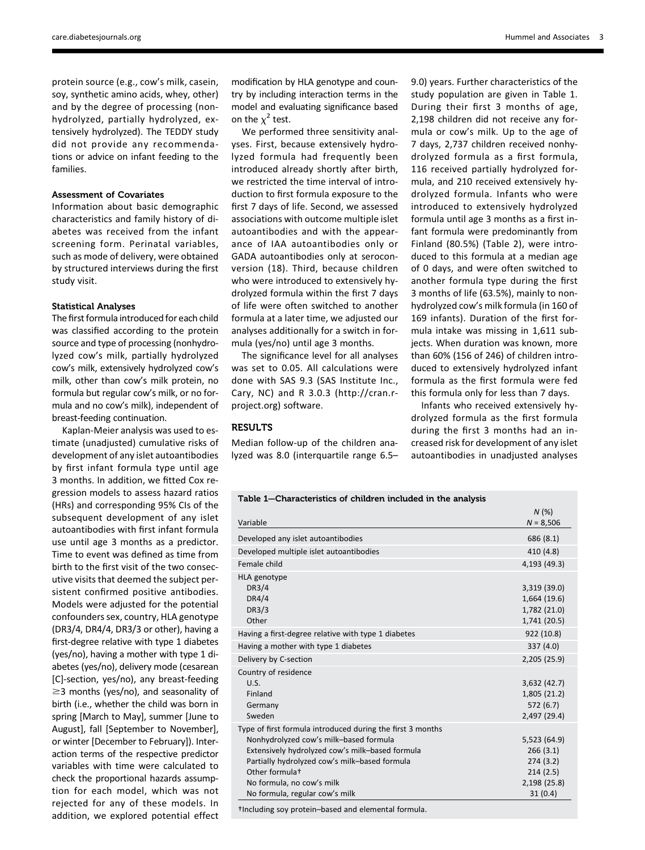protein source (e.g., cow's milk, casein, soy, synthetic amino acids, whey, other) and by the degree of processing (nonhydrolyzed, partially hydrolyzed, extensively hydrolyzed). The TEDDY study did not provide any recommendations or advice on infant feeding to the families.

### Assessment of Covariates

Information about basic demographic characteristics and family history of diabetes was received from the infant screening form. Perinatal variables, such as mode of delivery, were obtained by structured interviews during the first study visit.

#### Statistical Analyses

The first formula introduced for each child was classified according to the protein source and type of processing (nonhydrolyzed cow's milk, partially hydrolyzed cow's milk, extensively hydrolyzed cow's milk, other than cow's milk protein, no formula but regular cow's milk, or no formula and no cow's milk), independent of breast-feeding continuation.

Kaplan-Meier analysis was used to estimate (unadjusted) cumulative risks of development of any islet autoantibodies by first infant formula type until age 3 months. In addition, we fitted Cox regression models to assess hazard ratios (HRs) and corresponding 95% CIs of the subsequent development of any islet autoantibodies with first infant formula use until age 3 months as a predictor. Time to event was defined as time from birth to the first visit of the two consecutive visits that deemed the subject persistent confirmed positive antibodies. Models were adjusted for the potential confounders sex, country, HLA genotype (DR3/4, DR4/4, DR3/3 or other), having a first-degree relative with type 1 diabetes (yes/no), having a mother with type 1 diabetes (yes/no), delivery mode (cesarean [C]-section, yes/no), any breast-feeding  $\geq$ 3 months (yes/no), and seasonality of birth (i.e., whether the child was born in spring [March to May], summer [June to August], fall [September to November], or winter [December to February]). Interaction terms of the respective predictor variables with time were calculated to check the proportional hazards assumption for each model, which was not rejected for any of these models. In addition, we explored potential effect

modification by HLA genotype and country by including interaction terms in the model and evaluating significance based on the  $\chi^2$  test.

We performed three sensitivity analyses. First, because extensively hydrolyzed formula had frequently been introduced already shortly after birth, we restricted the time interval of introduction to first formula exposure to the first 7 days of life. Second, we assessed associations with outcome multiple islet autoantibodies and with the appearance of IAA autoantibodies only or GADA autoantibodies only at seroconversion (18). Third, because children who were introduced to extensively hydrolyzed formula within the first 7 days of life were often switched to another formula at a later time, we adjusted our analyses additionally for a switch in formula (yes/no) until age 3 months.

The significance level for all analyses was set to 0.05. All calculations were done with SAS 9.3 (SAS Institute Inc., Cary, NC) and R 3.0.3 ([http://cran.r](http://cran.r-project.org)[project.org\)](http://cran.r-project.org) software.

### RESULTS

Median follow-up of the children analyzed was 8.0 (interquartile range 6.5– 9.0) years. Further characteristics of the study population are given in Table 1. During their first 3 months of age, 2,198 children did not receive any formula or cow's milk. Up to the age of 7 days, 2,737 children received nonhydrolyzed formula as a first formula, 116 received partially hydrolyzed formula, and 210 received extensively hydrolyzed formula. Infants who were introduced to extensively hydrolyzed formula until age 3 months as a first infant formula were predominantly from Finland (80.5%) (Table 2), were introduced to this formula at a median age of 0 days, and were often switched to another formula type during the first 3 months of life (63.5%), mainly to nonhydrolyzed cow's milk formula (in 160 of 169 infants). Duration of the first formula intake was missing in 1,611 subjects. When duration was known, more than 60% (156 of 246) of children introduced to extensively hydrolyzed infant formula as the first formula were fed this formula only for less than 7 days.

Infants who received extensively hydrolyzed formula as the first formula during the first 3 months had an increased risk for development of any islet autoantibodies in unadjusted analyses

#### Table 1—Characteristics of children included in the analysis

| Variable                                                                                                                                                                                                                                                                                              | N(%)<br>$N = 8,506$                                                         |
|-------------------------------------------------------------------------------------------------------------------------------------------------------------------------------------------------------------------------------------------------------------------------------------------------------|-----------------------------------------------------------------------------|
| Developed any islet autoantibodies                                                                                                                                                                                                                                                                    | 686 (8.1)                                                                   |
| Developed multiple islet autoantibodies                                                                                                                                                                                                                                                               | 410 (4.8)                                                                   |
| Female child                                                                                                                                                                                                                                                                                          | 4,193 (49.3)                                                                |
| <b>HLA</b> genotype<br><b>DR3/4</b><br>DR4/4<br><b>DR3/3</b><br>Other                                                                                                                                                                                                                                 | 3,319 (39.0)<br>1,664 (19.6)<br>1,782 (21.0)<br>1,741 (20.5)                |
| Having a first-degree relative with type 1 diabetes                                                                                                                                                                                                                                                   | 922 (10.8)                                                                  |
| Having a mother with type 1 diabetes                                                                                                                                                                                                                                                                  | 337 (4.0)                                                                   |
| Delivery by C-section                                                                                                                                                                                                                                                                                 | 2,205 (25.9)                                                                |
| Country of residence<br>U.S.<br>Finland<br>Germany<br>Sweden                                                                                                                                                                                                                                          | 3,632(42.7)<br>1,805 (21.2)<br>572(6.7)<br>2,497 (29.4)                     |
| Type of first formula introduced during the first 3 months<br>Nonhydrolyzed cow's milk-based formula<br>Extensively hydrolyzed cow's milk-based formula<br>Partially hydrolyzed cow's milk-based formula<br>Other formula <sup>t</sup><br>No formula, no cow's milk<br>No formula, regular cow's milk | 5,523 (64.9)<br>266(3.1)<br>274(3.2)<br>214(2.5)<br>2,198 (25.8)<br>31(0.4) |
| $\pm i$ . The transformation of the state of the state of the state of the state of the state of the state of the state of the state of the state of the state of the state of the state of the state of the state of the state                                                                       |                                                                             |

†Including soy protein–based and elemental formula.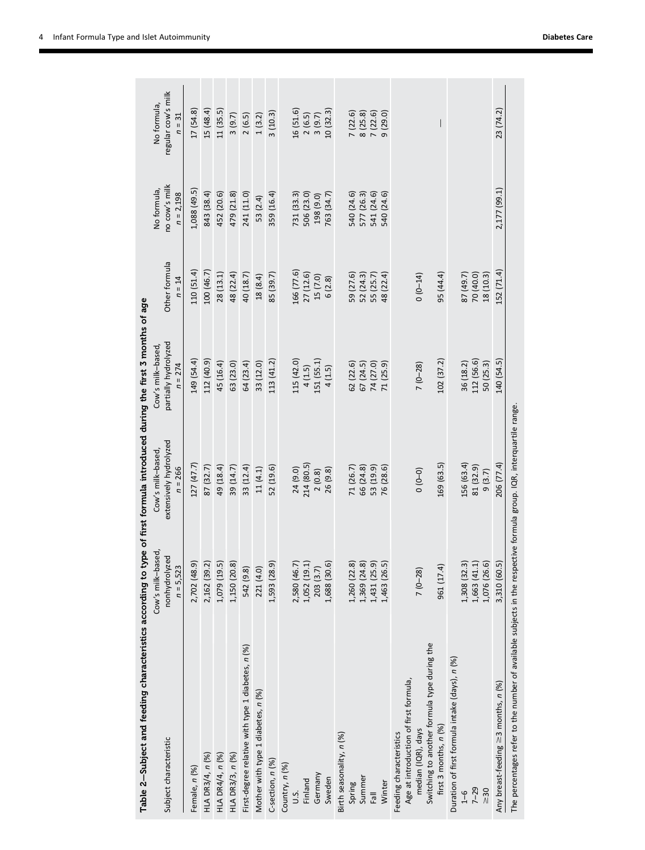| Table 2–Subject and feeding characteristics according to type of first formula introduced during the first 3 months of age             |                                    |                                                |                                           |               |                              |                                   |
|----------------------------------------------------------------------------------------------------------------------------------------|------------------------------------|------------------------------------------------|-------------------------------------------|---------------|------------------------------|-----------------------------------|
| Subject characteristic                                                                                                                 | Cow's milk-based,<br>nonhydrolyzed | extensively hydrolyzed<br>Cow's milk-based,    | partially hydrolyzed<br>Cow's milk-based, | Other formula | no cow's milk<br>No formula, | regular cow's milk<br>No formula, |
|                                                                                                                                        | $n = 5,523$                        | $n = 266$                                      | $n = 274$                                 | $n = 14$      | $n = 2,198$                  | $n = 31$                          |
| Female, n (%)                                                                                                                          | 2,702 (48.9)                       | 127 (47.7)                                     | 149 (54.4)                                | 110 (51.4)    | 1,088 (49.5)                 | 17(54.8)                          |
| HLA DR3/4, n (%)                                                                                                                       | 2,162 (39.2)                       | 87 (32.7)                                      | 112 (40.9)                                | 100 (46.7)    | 843 (38.4)                   | 15 (48.4)                         |
| HLA DR4/4, n (%)                                                                                                                       | 1,079 (19.5)                       | 49 (18.4)                                      | 45 (16.4)                                 | 28 (13.1)     | 452 (20.6)                   | 11(35.5)                          |
| HLA DR3/3, n (%)                                                                                                                       | 1,150 (20.8)                       | 39 (14.7)                                      | 63 (23.0)                                 | 48 (22.4)     | 479 (21.8)                   | 3(9.7)                            |
| First-degree relative with type 1 diabetes, n (%)                                                                                      | 542 (9.8)                          | 33(12.4)                                       | 64 (23.4)                                 | 40 (18.7)     | 241 (11.0)                   | 2(6.5)                            |
| Mother with type 1 diabetes, n (%)                                                                                                     | 221 (4.0)                          | 11(4.1)                                        | 33 (12.0)                                 | 18 (8.4)      | 53 (2.4)                     | 1(3.2)                            |
| C-section, $n$ (%)                                                                                                                     | 1,593 (28.9)                       | 52 (19.6)                                      | 113 (41.2)                                | 85 (39.7)     | 359 (16.4)                   | 3(10.3)                           |
| Country, n (%)                                                                                                                         |                                    |                                                |                                           |               |                              |                                   |
| .s.<br>ت                                                                                                                               | 2,580 (46.7)                       | 24 (9.0)                                       | 115 (42.0)                                | 166 (77.6)    | 731 (33.3)                   | 16 (51.6)                         |
| Finland                                                                                                                                | 1,052(19.1)                        | 214 (80.5)                                     | 4(1.5)                                    | 27 (12.6)     | 506 (23.0)                   | 2(6.5)                            |
| Germany                                                                                                                                | 203 (3.7)                          | 2(0.8)                                         | 151 (55.1)                                | 15 (7.0)      | 198 (9.0)                    | 3(9.7)                            |
| Sweden                                                                                                                                 | 1,688 (30.6)                       | 26 (9.8)                                       | 4(1.5)                                    | 6(2.8)        | 763 (34.7)                   | 10(32.3)                          |
| Birth seasonality, n (%)                                                                                                               |                                    |                                                |                                           |               |                              |                                   |
| Spring                                                                                                                                 | 1,260 (22.8)                       | 71 (26.7)                                      | 62(22.6)                                  | 59 (27.6)     | 540 (24.6)                   | 7(22.6)                           |
| Summer                                                                                                                                 | 1,369 (24.8)                       | 66 (24.8)                                      | 67(24.5)                                  | 52 (24.3)     | 577 (26.3)                   | 8(25.8)                           |
| $\overline{16}$                                                                                                                        | 1,431 (25.9)                       | 53 (19.9)                                      | 74 (27.0)                                 | 55 (25.7)     | 541 (24.6)                   | 7(22.6)                           |
| Winter                                                                                                                                 | 1,463 (26.5)                       | 76 (28.6)                                      | 71 (25.9)                                 | 48 (22.4)     | 540 (24.6)                   | 9(29.0)                           |
| Switching to another formula type during the<br>Age at introduction of first formula,<br>median (IQR), days<br>Feeding characteristics | $7(0 - 28)$                        | $\begin{pmatrix} 0 & 0 \\ 0 & 0 \end{pmatrix}$ | $7(0-28)$                                 | $(0 - 14)$    |                              |                                   |
| first 3 months, $n$ $(%)$                                                                                                              | 961 (17.4)                         | 169 (63.5)                                     | 102 (37.2)                                | 95 (44.4)     |                              | $\overline{\phantom{a}}$          |
| Duration of first formula intake (days), n (%)                                                                                         |                                    |                                                |                                           |               |                              |                                   |
| $\frac{9}{1}$                                                                                                                          | 1,308 (32.3)                       | 156 (63.4)                                     | 36 (18.2)                                 | 87 (49.7)     |                              |                                   |
| $7 - 29$                                                                                                                               | 1,663(41.1)                        | 81 (32.9)                                      | 112 (56.6)                                | 70 (40.0)     |                              |                                   |
| $\geq 30$                                                                                                                              | 1,076 (26.6)                       | 9(3.7)                                         | 50(25.3)                                  | 18 (10.3)     |                              |                                   |
| Any breast-feeding $\geq$ 3 months, n (%)                                                                                              | 3,310 (60.5)                       | 206 (77.4)                                     | 140 (54.5)                                | 152 (71.4)    | 2,177 (99.1)                 | 23 (74.2)                         |
| The percentages refer to the number of available subjects in the respective formula group. IQR, interquartile range.                   |                                    |                                                |                                           |               |                              |                                   |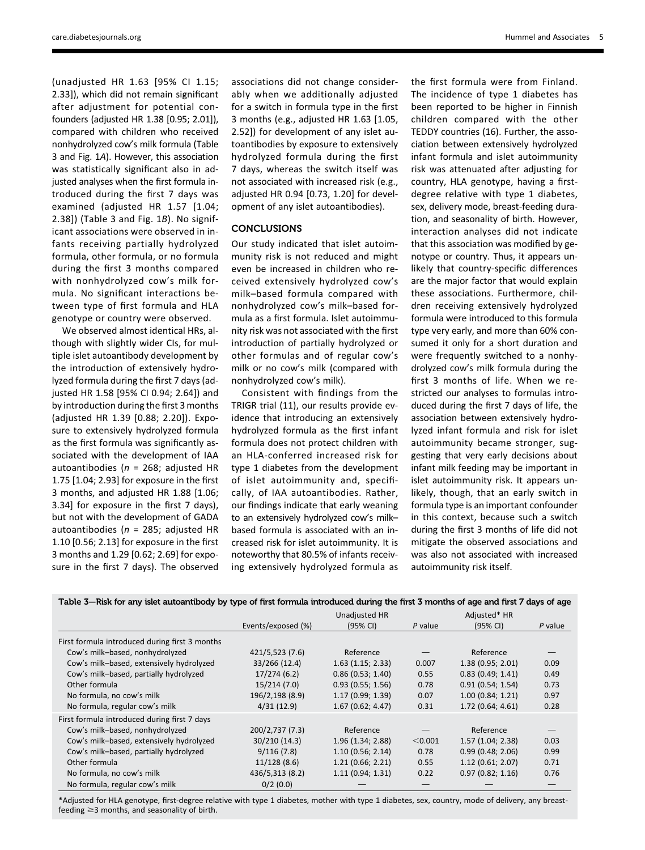(unadjusted HR 1.63 [95% CI 1.15; 2.33]), which did not remain significant after adjustment for potential confounders (adjusted HR 1.38 [0.95; 2.01]), compared with children who received nonhydrolyzed cow's milk formula (Table 3 and Fig. 1A). However, this association was statistically significant also in adjusted analyses when the first formula introduced during the first 7 days was examined (adjusted HR 1.57 [1.04; 2.38]) (Table 3 and Fig. 1B). No significant associations were observed in infants receiving partially hydrolyzed formula, other formula, or no formula during the first 3 months compared with nonhydrolyzed cow's milk formula. No significant interactions between type of first formula and HLA genotype or country were observed.

We observed almost identical HRs, although with slightly wider CIs, for multiple islet autoantibody development by the introduction of extensively hydrolyzed formula during the first 7 days (adjusted HR 1.58 [95% CI 0.94; 2.64]) and by introduction during the first 3 months (adjusted HR 1.39 [0.88; 2.20]). Exposure to extensively hydrolyzed formula as the first formula was significantly associated with the development of IAA autoantibodies ( $n = 268$ ; adjusted HR 1.75 [1.04; 2.93] for exposure in the first 3 months, and adjusted HR 1.88 [1.06; 3.34] for exposure in the first 7 days), but not with the development of GADA autoantibodies ( $n = 285$ ; adjusted HR 1.10 [0.56; 2.13] for exposure in the first 3 months and 1.29 [0.62; 2.69] for exposure in the first 7 days). The observed associations did not change considerably when we additionally adjusted for a switch in formula type in the first 3 months (e.g., adjusted HR 1.63 [1.05, 2.52]) for development of any islet autoantibodies by exposure to extensively hydrolyzed formula during the first 7 days, whereas the switch itself was not associated with increased risk (e.g., adjusted HR 0.94 [0.73, 1.20] for development of any islet autoantibodies).

# CONCLUSIONS

Our study indicated that islet autoimmunity risk is not reduced and might even be increased in children who received extensively hydrolyzed cow's milk–based formula compared with nonhydrolyzed cow's milk–based formula as a first formula. Islet autoimmunity risk was not associated with the first introduction of partially hydrolyzed or other formulas and of regular cow's milk or no cow's milk (compared with nonhydrolyzed cow's milk).

Consistent with findings from the TRIGR trial (11), our results provide evidence that introducing an extensively hydrolyzed formula as the first infant formula does not protect children with an HLA-conferred increased risk for type 1 diabetes from the development of islet autoimmunity and, specifically, of IAA autoantibodies. Rather, our findings indicate that early weaning to an extensively hydrolyzed cow's milk– based formula is associated with an increased risk for islet autoimmunity. It is noteworthy that 80.5% of infants receiving extensively hydrolyzed formula as the first formula were from Finland. The incidence of type 1 diabetes has been reported to be higher in Finnish children compared with the other TEDDY countries (16). Further, the association between extensively hydrolyzed infant formula and islet autoimmunity risk was attenuated after adjusting for country, HLA genotype, having a firstdegree relative with type 1 diabetes, sex, delivery mode, breast-feeding duration, and seasonality of birth. However, interaction analyses did not indicate that this association was modified by genotype or country. Thus, it appears unlikely that country-specific differences are the major factor that would explain these associations. Furthermore, children receiving extensively hydrolyzed formula were introduced to this formula type very early, and more than 60% consumed it only for a short duration and were frequently switched to a nonhydrolyzed cow's milk formula during the first 3 months of life. When we restricted our analyses to formulas introduced during the first 7 days of life, the association between extensively hydrolyzed infant formula and risk for islet autoimmunity became stronger, suggesting that very early decisions about infant milk feeding may be important in islet autoimmunity risk. It appears unlikely, though, that an early switch in formula type is an important confounder in this context, because such a switch during the first 3 months of life did not mitigate the observed associations and was also not associated with increased

autoimmunity risk itself.

| Table 3-Risk for any islet autoantibody by type of first formula introduced during the first 3 months of age and first 7 days of age |  |  |
|--------------------------------------------------------------------------------------------------------------------------------------|--|--|
|--------------------------------------------------------------------------------------------------------------------------------------|--|--|

|                                                |                    | Unadjusted HR    |         | Adjusted* HR      |                                |
|------------------------------------------------|--------------------|------------------|---------|-------------------|--------------------------------|
|                                                | Events/exposed (%) | (95% CI)         | P value | (95% CI)          | P value                        |
| First formula introduced during first 3 months |                    |                  |         |                   |                                |
| Cow's milk-based, nonhydrolyzed                | 421/5,523 (7.6)    | Reference        |         | Reference         |                                |
| Cow's milk-based, extensively hydrolyzed       | 33/266 (12.4)      | 1.63(1.15; 2.33) | 0.007   | 1.38(0.95; 2.01)  | 0.09                           |
| Cow's milk-based, partially hydrolyzed         | 17/274(6.2)        | 0.86(0.53; 1.40) | 0.55    | 0.83(0.49; 1.41)  | 0.49                           |
| Other formula                                  | 15/214 (7.0)       | 0.93(0.55; 1.56) | 0.78    | 0.91(0.54; 1.54)  | 0.73                           |
| No formula, no cow's milk                      | 196/2,198 (8.9)    | 1.17(0.99; 1.39) | 0.07    | 1.00(0.84; 1.21)  | 0.97                           |
| No formula, regular cow's milk                 | 4/31(12.9)         | 1.67(0.62; 4.47) | 0.31    | 1.72 (0.64; 4.61) | 0.28                           |
| First formula introduced during first 7 days   |                    |                  |         |                   |                                |
| Cow's milk-based, nonhydrolyzed                | 200/2,737 (7.3)    | Reference        |         | Reference         | $\qquad \qquad \longleftarrow$ |
| Cow's milk-based, extensively hydrolyzed       | 30/210 (14.3)      | 1.96(1.34; 2.88) | < 0.001 | 1.57(1.04; 2.38)  | 0.03                           |
| Cow's milk-based, partially hydrolyzed         | 9/116(7.8)         | 1.10(0.56; 2.14) | 0.78    | 0.99(0.48; 2.06)  | 0.99                           |
| Other formula                                  | 11/128(8.6)        | 1.21(0.66; 2.21) | 0.55    | 1.12(0.61; 2.07)  | 0.71                           |
| No formula, no cow's milk                      | 436/5,313 (8.2)    | 1.11(0.94; 1.31) | 0.22    | 0.97(0.82; 1.16)  | 0.76                           |
| No formula, regular cow's milk                 | 0/2(0.0)           |                  |         |                   |                                |

\*Adjusted for HLA genotype, first-degree relative with type 1 diabetes, mother with type 1 diabetes, sex, country, mode of delivery, any breastfeeding  $\geq$ 3 months, and seasonality of birth.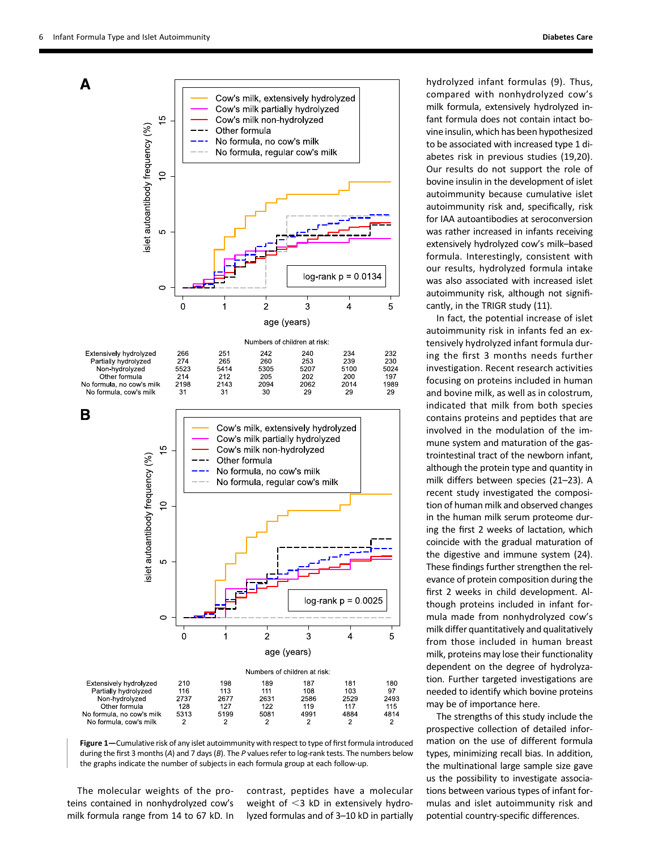

Figure 1—Cumulative risk of any islet autoimmunity with respect to type of first formula introduced during the first 3 months (A) and 7 days (B). The P values refer to log-rank tests. The numbers below the graphs indicate the number of subjects in each formula group at each follow-up.

The molecular weights of the proteins contained in nonhydrolyzed cow's milk formula range from 14 to 67 kD. In

contrast, peptides have a molecular weight of  $<$ 3 kD in extensively hydrolyzed formulas and of 3–10 kD in partially hydrolyzed infant formulas (9). Thus, compared with nonhydrolyzed cow's milk formula, extensively hydrolyzed infant formula does not contain intact bovine insulin, which has been hypothesized to be associated with increased type 1 diabetes risk in previous studies (19,20). Our results do not support the role of bovine insulin in the development of islet autoimmunity because cumulative islet autoimmunity risk and, specifically, risk for IAA autoantibodies at seroconversion was rather increased in infants receiving extensively hydrolyzed cow's milk–based formula. Interestingly, consistent with our results, hydrolyzed formula intake was also associated with increased islet autoimmunity risk, although not significantly, in the TRIGR study (11).

In fact, the potential increase of islet autoimmunity risk in infants fed an extensively hydrolyzed infant formula during the first 3 months needs further investigation. Recent research activities focusing on proteins included in human and bovine milk, as well as in colostrum, indicated that milk from both species contains proteins and peptides that are involved in the modulation of the immune system and maturation of the gastrointestinal tract of the newborn infant, although the protein type and quantity in milk differs between species (21–23). A recent study investigated the composition of human milk and observed changes in the human milk serum proteome during the first 2 weeks of lactation, which coincide with the gradual maturation of the digestive and immune system (24). These findings further strengthen the relevance of protein composition during the first 2 weeks in child development. Although proteins included in infant formula made from nonhydrolyzed cow's milk differ quantitatively and qualitatively from those included in human breast milk, proteins may lose their functionality dependent on the degree of hydrolyzation. Further targeted investigations are needed to identify which bovine proteins may be of importance here.

The strengths of this study include the prospective collection of detailed information on the use of different formula types, minimizing recall bias. In addition, the multinational large sample size gave us the possibility to investigate associations between various types of infant formulas and islet autoimmunity risk and potential country-specific differences.